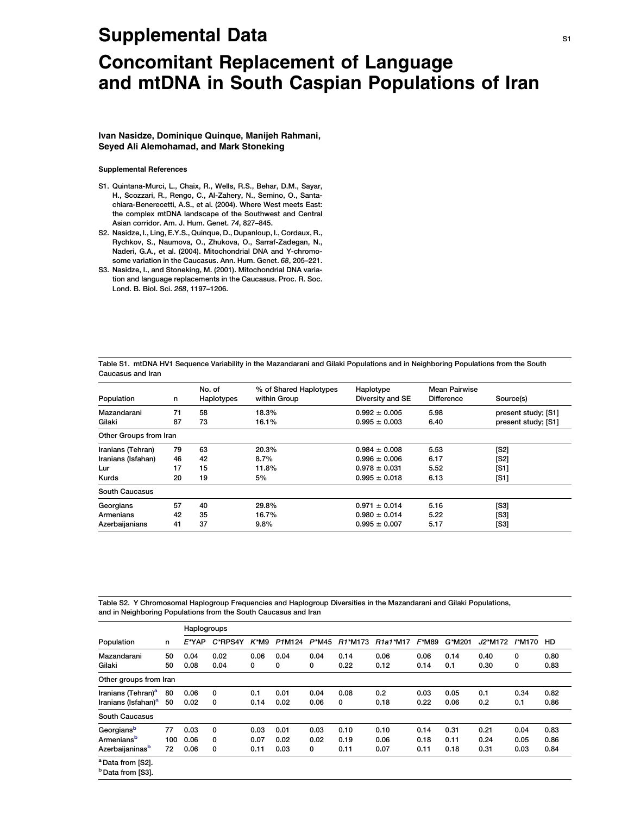## Supplemental Data S1 and S1 and S1 and S1 and S1 and S1 and S1 and S1 and S1 and S1 and S1 and S1 and S1 and S1

## Concomitant Replacement of Language and mtDNA in South Caspian Populations of Iran

Ivan Nasidze, Dominique Quinque, Manijeh Rahmani, Seyed Ali Alemohamad, and Mark Stoneking

## Supplemental References

- S1. Quintana-Murci, L., Chaix, R., Wells, R.S., Behar, D.M., Sayar, H., Scozzari, R., Rengo, C., Al-Zahery, N., Semino, O., Santachiara-Benerecetti, A.S., et al. (2004). Where West meets East: the complex mtDNA landscape of the Southwest and Central Asian corridor. Am. J. Hum. Genet. 74, 827–845.
- S2. Nasidze, I., Ling, E.Y.S., Quinque, D., Dupanloup, I., Cordaux, R., Rychkov, S., Naumova, O., Zhukova, O., Sarraf-Zadegan, N., Naderi, G.A., et al. (2004). Mitochondrial DNA and Y-chromosome variation in the Caucasus. Ann. Hum. Genet. 68, 205–221.
- S3. Nasidze, I., and Stoneking, M. (2001). Mitochondrial DNA variation and language replacements in the Caucasus. Proc. R. Soc. Lond. B. Biol. Sci. 268, 1197–1206.

Table S1. mtDNA HV1 Sequence Variability in the Mazandarani and Gilaki Populations and in Neighboring Populations from the South Caucasus and Iran

| Population<br>n        |    | No. of<br><b>Haplotypes</b> | % of Shared Haplotypes<br>within Group | Haplotype<br>Diversity and SE | Mean Pairwise<br><b>Difference</b> | Source(s)           |  |  |
|------------------------|----|-----------------------------|----------------------------------------|-------------------------------|------------------------------------|---------------------|--|--|
| Mazandarani            | 71 | 58                          | 18.3%                                  | $0.992 \pm 0.005$             | 5.98                               | present study; [S1] |  |  |
| Gilaki                 | 87 | 73                          | 16.1%                                  | $0.995 \pm 0.003$             | 6.40                               | present study; [S1] |  |  |
| Other Groups from Iran |    |                             |                                        |                               |                                    |                     |  |  |
| Iranians (Tehran)      | 79 | 63                          | 20.3%                                  | $0.984 \pm 0.008$             | 5.53                               | [S2]                |  |  |
| Iranians (Isfahan)     | 46 | 42                          | 8.7%                                   | $0.996 \pm 0.006$             | 6.17                               | [S2]                |  |  |
| Lur                    | 17 | 15                          | 11.8%                                  | $0.978 \pm 0.031$             | 5.52                               | [S1]                |  |  |
| Kurds                  | 20 | 19                          | 5%                                     | $0.995 \pm 0.018$             | 6.13                               | [S1]                |  |  |
| South Caucasus         |    |                             |                                        |                               |                                    |                     |  |  |
| Georgians              | 57 | 40                          | 29.8%                                  | 5.16<br>$0.971 \pm 0.014$     |                                    | [S3]                |  |  |
| Armenians              | 42 | 35                          | 16.7%                                  | $0.980 \pm 0.014$             | 5.22                               | [S3]                |  |  |
| Azerbaijanians         | 41 | 37                          | 9.8%                                   | $0.995 \pm 0.007$             | 5.17                               | [S3]                |  |  |

Table S2. Y Chromosomal Haplogroup Frequencies and Haplogroup Diversities in the Mazandarani and Gilaki Populations, and in Neighboring Populations from the South Caucasus and Iran

| Population                      | n   | Haplogroups |         |         |        |          |                                  |                                   |          |        |         |        |      |
|---------------------------------|-----|-------------|---------|---------|--------|----------|----------------------------------|-----------------------------------|----------|--------|---------|--------|------|
|                                 |     | $E^*YAP$    | C*RPS4Y | $K^*M9$ | P1M124 | $P^*M45$ | R <sub>1</sub> *M <sub>173</sub> | R <sub>1a1</sub> *M <sub>17</sub> | $F^*M89$ | G*M201 | J2*M172 | /*M170 | HD.  |
| Mazandarani                     | 50  | 0.04        | 0.02    | 0.06    | 0.04   | 0.04     | 0.14                             | 0.06                              | 0.06     | 0.14   | 0.40    | 0      | 0.80 |
| Gilaki                          | 50  | 0.08        | 0.04    | 0       | 0      | 0        | 0.22                             | 0.12                              | 0.14     | 0.1    | 0.30    | 0      | 0.83 |
| Other groups from Iran          |     |             |         |         |        |          |                                  |                                   |          |        |         |        |      |
| Iranians (Tehran) <sup>a</sup>  | 80  | 0.06        | 0       | 0.1     | 0.01   | 0.04     | 0.08                             | 0.2                               | 0.03     | 0.05   | 0.1     | 0.34   | 0.82 |
| Iranians (Isfahan) <sup>a</sup> | 50  | 0.02        | 0       | 0.14    | 0.02   | 0.06     | 0                                | 0.18                              | 0.22     | 0.06   | 0.2     | 0.1    | 0.86 |
| South Caucasus                  |     |             |         |         |        |          |                                  |                                   |          |        |         |        |      |
| Georgiansb                      | 77  | 0.03        | 0       | 0.03    | 0.01   | 0.03     | 0.10                             | 0.10                              | 0.14     | 0.31   | 0.21    | 0.04   | 0.83 |
| Armenians <sup>b</sup>          | 100 | 0.06        | 0       | 0.07    | 0.02   | 0.02     | 0.19                             | 0.06                              | 0.18     | 0.11   | 0.24    | 0.05   | 0.86 |
| Azerbaijaninas <sup>b</sup>     | 72  | 0.06        | 0       | 0.11    | 0.03   | 0        | 0.11                             | 0.07                              | 0.11     | 0.18   | 0.31    | 0.03   | 0.84 |
| <sup>a</sup> Data from [S2].    |     |             |         |         |        |          |                                  |                                   |          |        |         |        |      |
| <sup>b</sup> Data from [S3].    |     |             |         |         |        |          |                                  |                                   |          |        |         |        |      |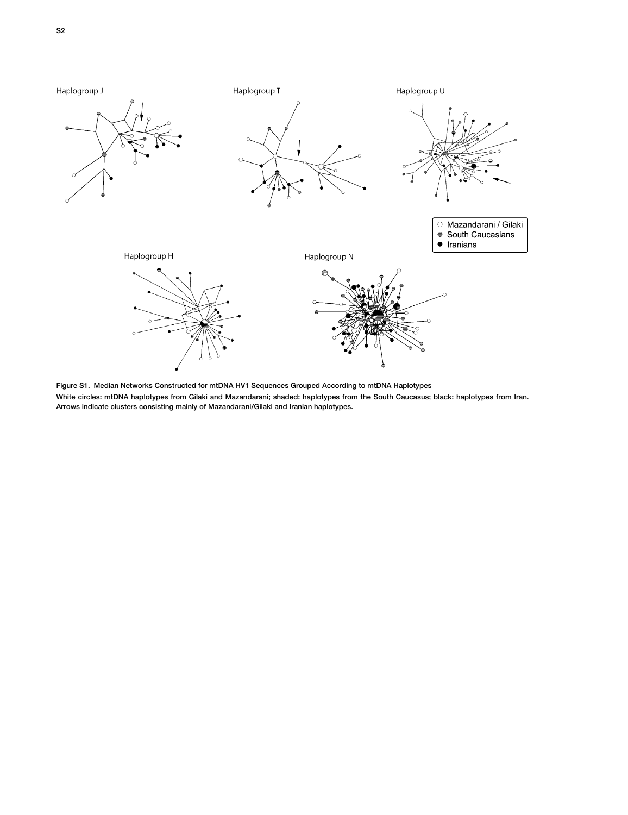

Figure S1. Median Networks Constructed for mtDNA HV1 Sequences Grouped According to mtDNA Haplotypes White circles: mtDNA haplotypes from Gilaki and Mazandarani; shaded: haplotypes from the South Caucasus; black: haplotypes from Iran. Arrows indicate clusters consisting mainly of Mazandarani/Gilaki and Iranian haplotypes.